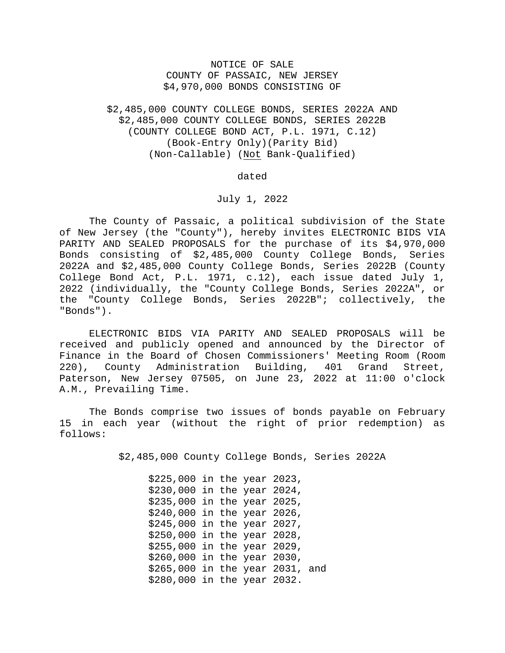## NOTICE OF SALE COUNTY OF PASSAIC, NEW JERSEY \$4,970,000 BONDS CONSISTING OF

\$2,485,000 COUNTY COLLEGE BONDS, SERIES 2022A AND \$2,485,000 COUNTY COLLEGE BONDS, SERIES 2022B (COUNTY COLLEGE BOND ACT, P.L. 1971, C.12) (Book-Entry Only)(Parity Bid) (Non-Callable) (Not Bank-Qualified)

dated

## July 1, 2022

The County of Passaic, a political subdivision of the State of New Jersey (the "County"), hereby invites ELECTRONIC BIDS VIA PARITY AND SEALED PROPOSALS for the purchase of its \$4,970,000 Bonds consisting of \$2,485,000 County College Bonds, Series 2022A and \$2,485,000 County College Bonds, Series 2022B (County College Bond Act, P.L. 1971, c.12), each issue dated July 1, 2022 (individually, the "County College Bonds, Series 2022A", or the "County College Bonds, Series 2022B"; collectively, the "Bonds").

 ELECTRONIC BIDS VIA PARITY AND SEALED PROPOSALS will be received and publicly opened and announced by the Director of Finance in the Board of Chosen Commissioners' Meeting Room (Room 220), County Administration Building, 401 Grand Street, Paterson, New Jersey 07505, on June 23, 2022 at 11:00 o'clock A.M., Prevailing Time.

 The Bonds comprise two issues of bonds payable on February 15 in each year (without the right of prior redemption) as follows:

\$2,485,000 County College Bonds, Series 2022A

\$225,000 in the year 2023, \$230,000 in the year 2024, \$235,000 in the year 2025, \$240,000 in the year 2026, \$245,000 in the year 2027, \$250,000 in the year 2028, \$255,000 in the year 2029, \$260,000 in the year 2030, \$265,000 in the year 2031, and \$280,000 in the year 2032.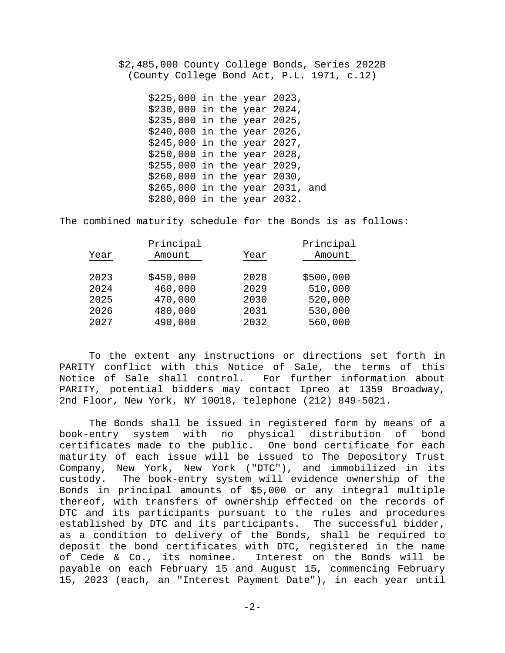\$2,485,000 County College Bonds, Series 2022B (County College Bond Act, P.L. 1971, c.12)

> \$225,000 in the year 2023, \$230,000 in the year 2024, \$235,000 in the year 2025, \$240,000 in the year 2026, \$245,000 in the year 2027, \$250,000 in the year 2028, \$255,000 in the year 2029, \$260,000 in the year 2030, \$265,000 in the year 2031, and \$280,000 in the year 2032.

The combined maturity schedule for the Bonds is as follows:

|      | Principal |      | Principal |
|------|-----------|------|-----------|
| Year | Amount    | Year | Amount    |
|      |           |      |           |
| 2023 | \$450,000 | 2028 | \$500,000 |
| 2024 | 460,000   | 2029 | 510,000   |
| 2025 | 470,000   | 2030 | 520,000   |
| 2026 | 480,000   | 2031 | 530,000   |
| 2027 | 490,000   | 2032 | 560,000   |
|      |           |      |           |

 To the extent any instructions or directions set forth in PARITY conflict with this Notice of Sale, the terms of this Notice of Sale shall control. For further information about PARITY, potential bidders may contact Ipreo at 1359 Broadway, 2nd Floor, New York, NY 10018, telephone (212) 849-5021.

The Bonds shall be issued in registered form by means of a book-entry system with no physical distribution of bond certificates made to the public. One bond certificate for each maturity of each issue will be issued to The Depository Trust Company, New York, New York ("DTC"), and immobilized in its custody. The book-entry system will evidence ownership of the Bonds in principal amounts of \$5,000 or any integral multiple thereof, with transfers of ownership effected on the records of DTC and its participants pursuant to the rules and procedures established by DTC and its participants. The successful bidder, as a condition to delivery of the Bonds, shall be required to deposit the bond certificates with DTC, registered in the name of Cede & Co., its nominee. Interest on the Bonds will be payable on each February 15 and August 15, commencing February 15, 2023 (each, an "Interest Payment Date"), in each year until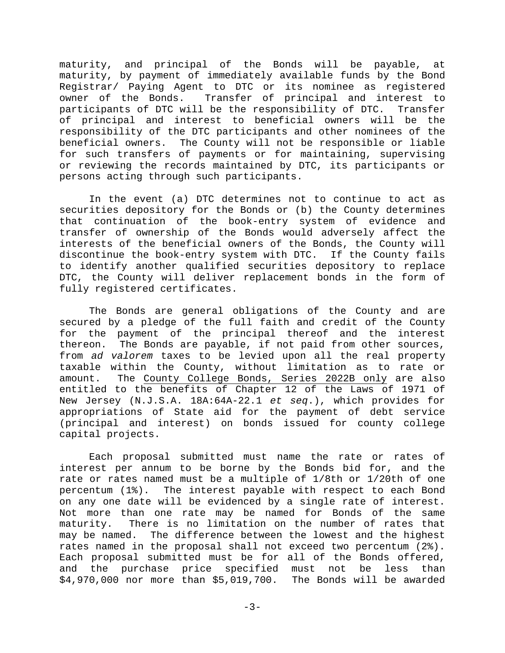maturity, and principal of the Bonds will be payable, at maturity, by payment of immediately available funds by the Bond Registrar/ Paying Agent to DTC or its nominee as registered owner of the Bonds. Transfer of principal and interest to participants of DTC will be the responsibility of DTC. Transfer of principal and interest to beneficial owners will be the responsibility of the DTC participants and other nominees of the beneficial owners. The County will not be responsible or liable for such transfers of payments or for maintaining, supervising or reviewing the records maintained by DTC, its participants or persons acting through such participants.

 In the event (a) DTC determines not to continue to act as securities depository for the Bonds or (b) the County determines that continuation of the book-entry system of evidence and transfer of ownership of the Bonds would adversely affect the interests of the beneficial owners of the Bonds, the County will discontinue the book-entry system with DTC. If the County fails to identify another qualified securities depository to replace DTC, the County will deliver replacement bonds in the form of fully registered certificates.

 The Bonds are general obligations of the County and are secured by a pledge of the full faith and credit of the County for the payment of the principal thereof and the interest thereon. The Bonds are payable, if not paid from other sources, from *ad valorem* taxes to be levied upon all the real property taxable within the County, without limitation as to rate or amount. The County College Bonds, Series 2022B only are also entitled to the benefits of Chapter 12 of the Laws of 1971 of New Jersey (N.J.S.A. 18A:64A-22.1 *et seq*.), which provides for appropriations of State aid for the payment of debt service (principal and interest) on bonds issued for county college capital projects.

 Each proposal submitted must name the rate or rates of interest per annum to be borne by the Bonds bid for, and the rate or rates named must be a multiple of 1/8th or 1/20th of one percentum (1%). The interest payable with respect to each Bond on any one date will be evidenced by a single rate of interest. Not more than one rate may be named for Bonds of the same maturity. There is no limitation on the number of rates that may be named. The difference between the lowest and the highest rates named in the proposal shall not exceed two percentum (2%). Each proposal submitted must be for all of the Bonds offered, and the purchase price specified must not be less than \$4,970,000 nor more than \$5,019,700. The Bonds will be awarded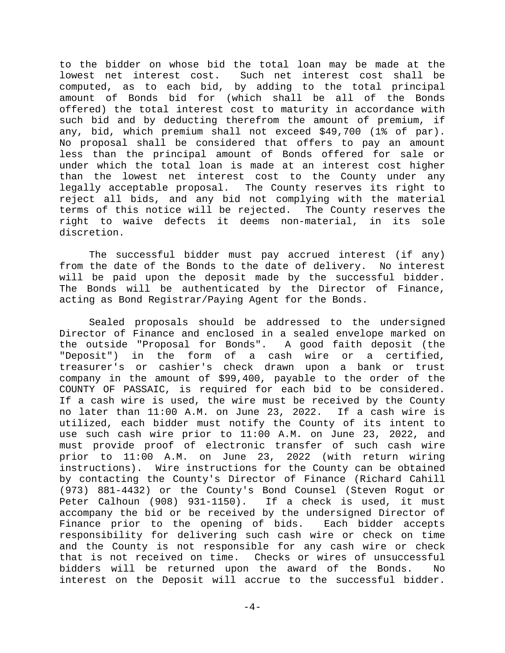to the bidder on whose bid the total loan may be made at the lowest net interest cost. Such net interest cost shall be computed, as to each bid, by adding to the total principal amount of Bonds bid for (which shall be all of the Bonds offered) the total interest cost to maturity in accordance with such bid and by deducting therefrom the amount of premium, if any, bid, which premium shall not exceed \$49,700 (1% of par). No proposal shall be considered that offers to pay an amount less than the principal amount of Bonds offered for sale or under which the total loan is made at an interest cost higher than the lowest net interest cost to the County under any legally acceptable proposal. The County reserves its right to reject all bids, and any bid not complying with the material terms of this notice will be rejected. The County reserves the right to waive defects it deems non-material, in its sole discretion.

 The successful bidder must pay accrued interest (if any) from the date of the Bonds to the date of delivery. No interest will be paid upon the deposit made by the successful bidder. The Bonds will be authenticated by the Director of Finance, acting as Bond Registrar/Paying Agent for the Bonds.

 Sealed proposals should be addressed to the undersigned Director of Finance and enclosed in a sealed envelope marked on the outside "Proposal for Bonds". A good faith deposit (the "Deposit") in the form of a cash wire or a certified, treasurer's or cashier's check drawn upon a bank or trust company in the amount of \$99,400, payable to the order of the COUNTY OF PASSAIC, is required for each bid to be considered. If a cash wire is used, the wire must be received by the County no later than 11:00 A.M. on June 23, 2022. If a cash wire is utilized, each bidder must notify the County of its intent to use such cash wire prior to 11:00 A.M. on June 23, 2022, and must provide proof of electronic transfer of such cash wire prior to 11:00 A.M. on June 23, 2022 (with return wiring instructions). Wire instructions for the County can be obtained by contacting the County's Director of Finance (Richard Cahill (973) 881-4432) or the County's Bond Counsel (Steven Rogut or Peter Calhoun (908) 931-1150). If a check is used, it must accompany the bid or be received by the undersigned Director of Finance prior to the opening of bids. Each bidder accepts responsibility for delivering such cash wire or check on time and the County is not responsible for any cash wire or check that is not received on time. Checks or wires of unsuccessful bidders will be returned upon the award of the Bonds. No interest on the Deposit will accrue to the successful bidder.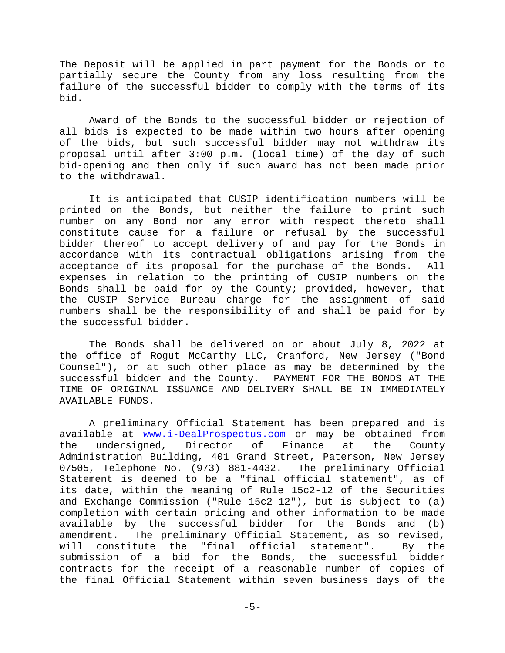The Deposit will be applied in part payment for the Bonds or to partially secure the County from any loss resulting from the failure of the successful bidder to comply with the terms of its bid.

 Award of the Bonds to the successful bidder or rejection of all bids is expected to be made within two hours after opening of the bids, but such successful bidder may not withdraw its proposal until after 3:00 p.m. (local time) of the day of such bid-opening and then only if such award has not been made prior to the withdrawal.

 It is anticipated that CUSIP identification numbers will be printed on the Bonds, but neither the failure to print such number on any Bond nor any error with respect thereto shall constitute cause for a failure or refusal by the successful bidder thereof to accept delivery of and pay for the Bonds in accordance with its contractual obligations arising from the acceptance of its proposal for the purchase of the Bonds. All expenses in relation to the printing of CUSIP numbers on the Bonds shall be paid for by the County; provided, however, that the CUSIP Service Bureau charge for the assignment of said numbers shall be the responsibility of and shall be paid for by the successful bidder.

 The Bonds shall be delivered on or about July 8, 2022 at the office of Rogut McCarthy LLC, Cranford, New Jersey ("Bond Counsel"), or at such other place as may be determined by the successful bidder and the County. PAYMENT FOR THE BONDS AT THE TIME OF ORIGINAL ISSUANCE AND DELIVERY SHALL BE IN IMMEDIATELY AVAILABLE FUNDS.

 A preliminary Official Statement has been prepared and is available at www.i-DealProspectus.com or may be obtained from the undersigned, Director of Finance at the County Administration Building, 401 Grand Street, Paterson, New Jersey 07505, Telephone No. (973) 881-4432. The preliminary Official Statement is deemed to be a "final official statement", as of its date, within the meaning of Rule 15c2-12 of the Securities and Exchange Commission ("Rule 15c2-12"), but is subject to (a) completion with certain pricing and other information to be made available by the successful bidder for the Bonds and (b) amendment. The preliminary Official Statement, as so revised, will constitute the "final official statement". By the submission of a bid for the Bonds, the successful bidder contracts for the receipt of a reasonable number of copies of the final Official Statement within seven business days of the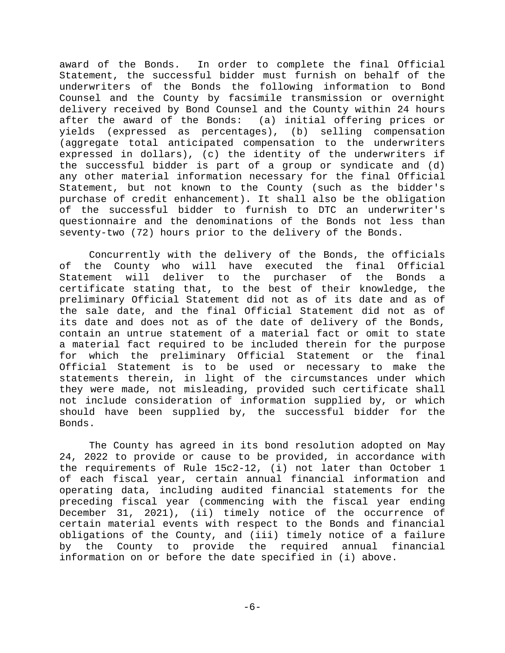award of the Bonds. In order to complete the final Official Statement, the successful bidder must furnish on behalf of the underwriters of the Bonds the following information to Bond Counsel and the County by facsimile transmission or overnight delivery received by Bond Counsel and the County within 24 hours after the award of the Bonds: (a) initial offering prices or yields (expressed as percentages), (b) selling compensation (aggregate total anticipated compensation to the underwriters expressed in dollars), (c) the identity of the underwriters if the successful bidder is part of a group or syndicate and (d) any other material information necessary for the final Official Statement, but not known to the County (such as the bidder's purchase of credit enhancement). It shall also be the obligation of the successful bidder to furnish to DTC an underwriter's questionnaire and the denominations of the Bonds not less than seventy-two (72) hours prior to the delivery of the Bonds.

 Concurrently with the delivery of the Bonds, the officials of the County who will have executed the final Official Statement will deliver to the purchaser of the Bonds a certificate stating that, to the best of their knowledge, the preliminary Official Statement did not as of its date and as of the sale date, and the final Official Statement did not as of its date and does not as of the date of delivery of the Bonds, contain an untrue statement of a material fact or omit to state a material fact required to be included therein for the purpose for which the preliminary Official Statement or the final Official Statement is to be used or necessary to make the statements therein, in light of the circumstances under which they were made, not misleading, provided such certificate shall not include consideration of information supplied by, or which should have been supplied by, the successful bidder for the Bonds.

 The County has agreed in its bond resolution adopted on May 24, 2022 to provide or cause to be provided, in accordance with the requirements of Rule 15c2-12, (i) not later than October 1 of each fiscal year, certain annual financial information and operating data, including audited financial statements for the preceding fiscal year (commencing with the fiscal year ending December 31, 2021), (ii) timely notice of the occurrence of certain material events with respect to the Bonds and financial obligations of the County, and (iii) timely notice of a failure by the County to provide the required annual financial information on or before the date specified in (i) above.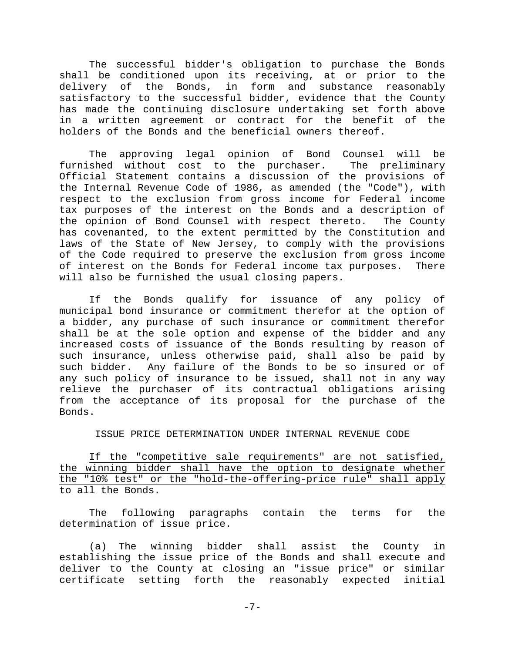The successful bidder's obligation to purchase the Bonds shall be conditioned upon its receiving, at or prior to the delivery of the Bonds, in form and substance reasonably satisfactory to the successful bidder, evidence that the County has made the continuing disclosure undertaking set forth above in a written agreement or contract for the benefit of the holders of the Bonds and the beneficial owners thereof.

 The approving legal opinion of Bond Counsel will be furnished without cost to the purchaser. The preliminary Official Statement contains a discussion of the provisions of the Internal Revenue Code of 1986, as amended (the "Code"), with respect to the exclusion from gross income for Federal income tax purposes of the interest on the Bonds and a description of the opinion of Bond Counsel with respect thereto. The County has covenanted, to the extent permitted by the Constitution and laws of the State of New Jersey, to comply with the provisions of the Code required to preserve the exclusion from gross income of interest on the Bonds for Federal income tax purposes. There will also be furnished the usual closing papers.

 If the Bonds qualify for issuance of any policy of municipal bond insurance or commitment therefor at the option of a bidder, any purchase of such insurance or commitment therefor shall be at the sole option and expense of the bidder and any increased costs of issuance of the Bonds resulting by reason of such insurance, unless otherwise paid, shall also be paid by such bidder. Any failure of the Bonds to be so insured or of any such policy of insurance to be issued, shall not in any way relieve the purchaser of its contractual obligations arising from the acceptance of its proposal for the purchase of the Bonds.

## ISSUE PRICE DETERMINATION UNDER INTERNAL REVENUE CODE

If the "competitive sale requirements" are not satisfied, the winning bidder shall have the option to designate whether the "10% test" or the "hold-the-offering-price rule" shall apply to all the Bonds.

 The following paragraphs contain the terms for the determination of issue price.

(a) The winning bidder shall assist the County in establishing the issue price of the Bonds and shall execute and deliver to the County at closing an "issue price" or similar certificate setting forth the reasonably expected initial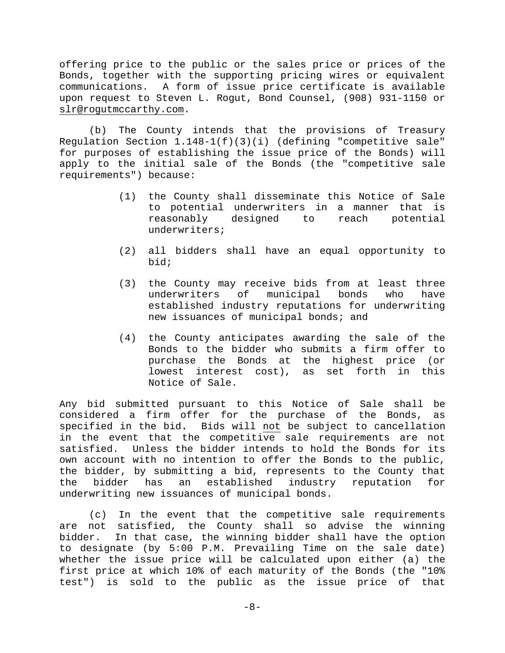offering price to the public or the sales price or prices of the Bonds, together with the supporting pricing wires or equivalent communications. A form of issue price certificate is available upon request to Steven L. Rogut, Bond Counsel, (908) 931-1150 or slr@rogutmccarthy.com.

(b) The County intends that the provisions of Treasury Requlation Section  $1.148-1(f)(3)(i)$  (defining "competitive sale" for purposes of establishing the issue price of the Bonds) will apply to the initial sale of the Bonds (the "competitive sale requirements") because:

- (1) the County shall disseminate this Notice of Sale to potential underwriters in a manner that is reasonably designed to reach potential underwriters;
- (2) all bidders shall have an equal opportunity to bid;
- (3) the County may receive bids from at least three underwriters of municipal bonds who have established industry reputations for underwriting new issuances of municipal bonds; and
- (4) the County anticipates awarding the sale of the Bonds to the bidder who submits a firm offer to purchase the Bonds at the highest price (or lowest interest cost), as set forth in this Notice of Sale.

Any bid submitted pursuant to this Notice of Sale shall be considered a firm offer for the purchase of the Bonds, as specified in the bid**.** Bids will not be subject to cancellation in the event that the competitive sale requirements are not satisfied. Unless the bidder intends to hold the Bonds for its own account with no intention to offer the Bonds to the public, the bidder, by submitting a bid, represents to the County that the bidder has an established industry reputation for underwriting new issuances of municipal bonds.

(c) In the event that the competitive sale requirements are not satisfied, the County shall so advise the winning bidder. In that case, the winning bidder shall have the option to designate (by 5:00 P.M. Prevailing Time on the sale date) whether the issue price will be calculated upon either (a) the first price at which 10% of each maturity of the Bonds (the "10% test") is sold to the public as the issue price of that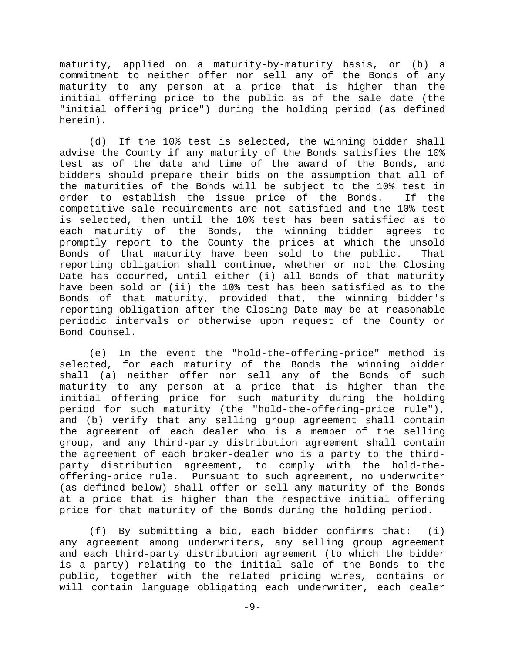maturity, applied on a maturity-by-maturity basis, or (b) a commitment to neither offer nor sell any of the Bonds of any maturity to any person at a price that is higher than the initial offering price to the public as of the sale date (the "initial offering price") during the holding period (as defined herein).

(d) If the 10% test is selected, the winning bidder shall advise the County if any maturity of the Bonds satisfies the 10% test as of the date and time of the award of the Bonds, and bidders should prepare their bids on the assumption that all of the maturities of the Bonds will be subject to the 10% test in order to establish the issue price of the Bonds. If the competitive sale requirements are not satisfied and the 10% test is selected, then until the 10% test has been satisfied as to each maturity of the Bonds, the winning bidder agrees to promptly report to the County the prices at which the unsold Bonds of that maturity have been sold to the public. That reporting obligation shall continue, whether or not the Closing Date has occurred, until either (i) all Bonds of that maturity have been sold or (ii) the 10% test has been satisfied as to the Bonds of that maturity, provided that, the winning bidder's reporting obligation after the Closing Date may be at reasonable periodic intervals or otherwise upon request of the County or Bond Counsel.

(e) In the event the "hold-the-offering-price" method is selected, for each maturity of the Bonds the winning bidder shall (a) neither offer nor sell any of the Bonds of such maturity to any person at a price that is higher than the initial offering price for such maturity during the holding period for such maturity (the "hold-the-offering-price rule"), and (b) verify that any selling group agreement shall contain the agreement of each dealer who is a member of the selling group, and any third-party distribution agreement shall contain the agreement of each broker-dealer who is a party to the thirdparty distribution agreement, to comply with the hold-theoffering-price rule. Pursuant to such agreement, no underwriter (as defined below) shall offer or sell any maturity of the Bonds at a price that is higher than the respective initial offering price for that maturity of the Bonds during the holding period.

(f) By submitting a bid, each bidder confirms that: (i) any agreement among underwriters, any selling group agreement and each third-party distribution agreement (to which the bidder is a party) relating to the initial sale of the Bonds to the public, together with the related pricing wires, contains or will contain language obligating each underwriter, each dealer

 $-9-$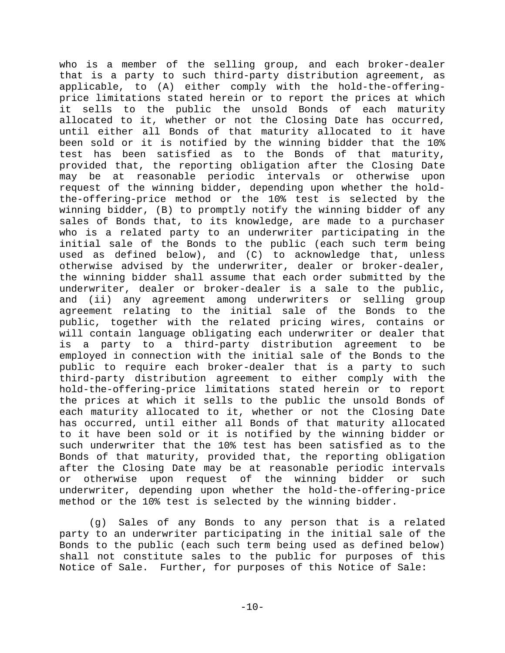who is a member of the selling group, and each broker-dealer that is a party to such third-party distribution agreement, as applicable, to (A) either comply with the hold-the-offeringprice limitations stated herein or to report the prices at which it sells to the public the unsold Bonds of each maturity allocated to it, whether or not the Closing Date has occurred, until either all Bonds of that maturity allocated to it have been sold or it is notified by the winning bidder that the 10% test has been satisfied as to the Bonds of that maturity, provided that, the reporting obligation after the Closing Date may be at reasonable periodic intervals or otherwise upon request of the winning bidder, depending upon whether the holdthe-offering-price method or the 10% test is selected by the winning bidder, (B) to promptly notify the winning bidder of any sales of Bonds that, to its knowledge, are made to a purchaser who is a related party to an underwriter participating in the initial sale of the Bonds to the public (each such term being used as defined below), and (C) to acknowledge that, unless otherwise advised by the underwriter, dealer or broker-dealer, the winning bidder shall assume that each order submitted by the underwriter, dealer or broker-dealer is a sale to the public, and (ii) any agreement among underwriters or selling group agreement relating to the initial sale of the Bonds to the public, together with the related pricing wires, contains or will contain language obligating each underwriter or dealer that is a party to a third-party distribution agreement to be employed in connection with the initial sale of the Bonds to the public to require each broker-dealer that is a party to such third-party distribution agreement to either comply with the hold-the-offering-price limitations stated herein or to report the prices at which it sells to the public the unsold Bonds of each maturity allocated to it, whether or not the Closing Date has occurred, until either all Bonds of that maturity allocated to it have been sold or it is notified by the winning bidder or such underwriter that the 10% test has been satisfied as to the Bonds of that maturity, provided that, the reporting obligation after the Closing Date may be at reasonable periodic intervals or otherwise upon request of the winning bidder or such underwriter, depending upon whether the hold-the-offering-price method or the 10% test is selected by the winning bidder.

(g) Sales of any Bonds to any person that is a related party to an underwriter participating in the initial sale of the Bonds to the public (each such term being used as defined below) shall not constitute sales to the public for purposes of this Notice of Sale. Further, for purposes of this Notice of Sale: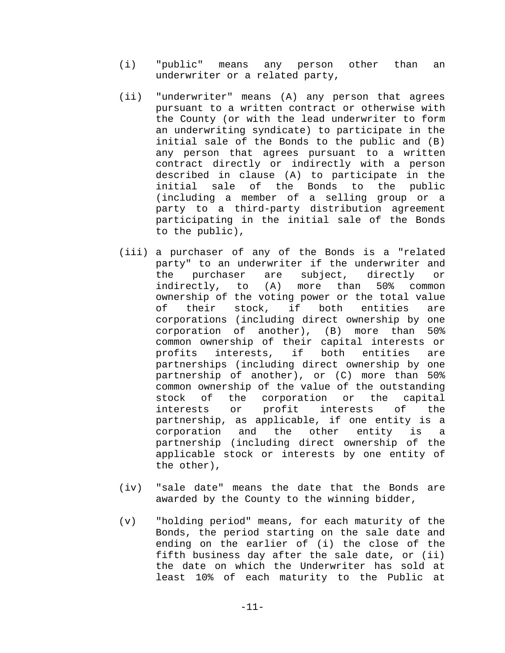- (i) "public" means any person other than an underwriter or a related party,
- (ii) "underwriter" means (A) any person that agrees pursuant to a written contract or otherwise with the County (or with the lead underwriter to form an underwriting syndicate) to participate in the initial sale of the Bonds to the public and (B) any person that agrees pursuant to a written contract directly or indirectly with a person described in clause (A) to participate in the initial sale of the Bonds to the public (including a member of a selling group or a party to a third-party distribution agreement participating in the initial sale of the Bonds to the public),
- (iii) a purchaser of any of the Bonds is a "related party" to an underwriter if the underwriter and the purchaser are subject, directly or indirectly, to (A) more than 50% common ownership of the voting power or the total value of their stock, if both entities are corporations (including direct ownership by one corporation of another), (B) more than 50% common ownership of their capital interests or profits interests, if both entities are partnerships (including direct ownership by one partnership of another), or (C) more than 50% common ownership of the value of the outstanding stock of the corporation or the capital interests or profit interests of the partnership, as applicable, if one entity is a corporation and the other entity is a partnership (including direct ownership of the applicable stock or interests by one entity of the other),
- (iv) "sale date" means the date that the Bonds are awarded by the County to the winning bidder,
- (v) "holding period" means, for each maturity of the Bonds, the period starting on the sale date and ending on the earlier of (i) the close of the fifth business day after the sale date, or (ii) the date on which the Underwriter has sold at least 10% of each maturity to the Public at